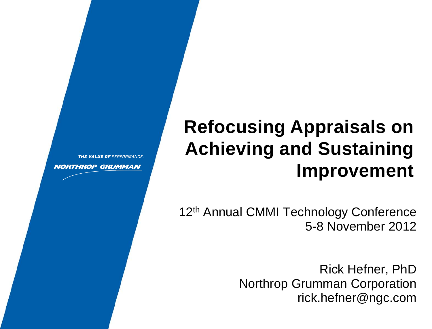# **Refocusing Appraisals on Achieving and Sustaining Improvement**

THE VALUE OF PERFORMANCE.

**NORTHROP GRUMMAN** 

12<sup>th</sup> Annual CMMI Technology Conference 5-8 November 2012

> Rick Hefner, PhD Northrop Grumman Corporation rick.hefner@ngc.com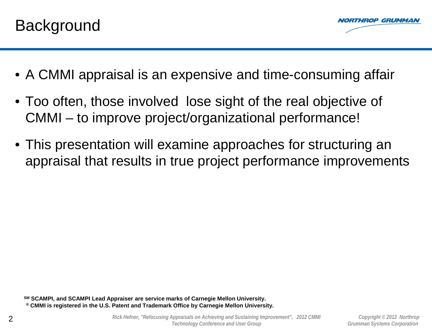

- A CMMI appraisal is an expensive and time-consuming affair
- Too often, those involved lose sight of the real objective of CMMI – to improve project/organizational performance!
- This presentation will examine approaches for structuring an appraisal that results in true project performance improvements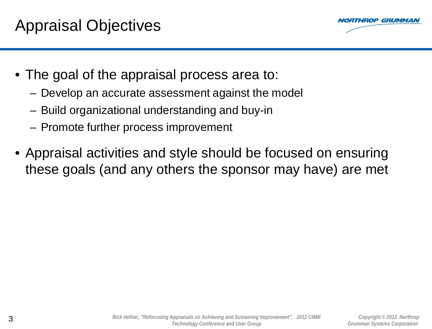

- The goal of the appraisal process area to:
	- Develop an accurate assessment against the model
	- Build organizational understanding and buy-in
	- Promote further process improvement
- Appraisal activities and style should be focused on ensuring these goals (and any others the sponsor may have) are met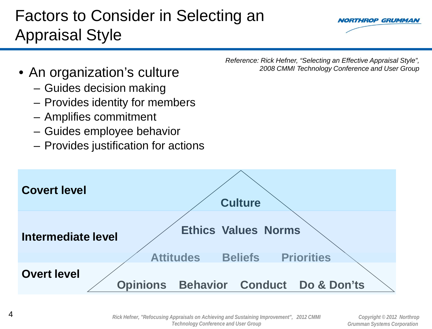### Factors to Consider in Selecting an Appraisal Style



- An organization's culture
	- Guides decision making
	- Provides identity for members
	- Amplifies commitment
	- Guides employee behavior
	- Provides justification for actions

*Reference: Rick Hefner, "Selecting an Effective Appraisal Style", 2008 CMMI Technology Conference and User Group* 

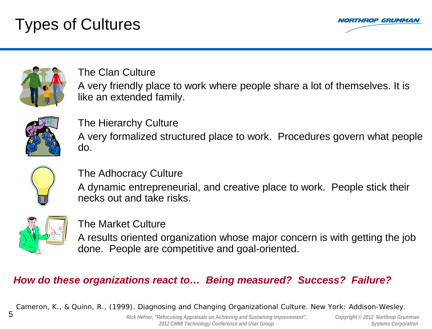## Types of Cultures





The Clan Culture A very friendly place to work where people share a lot of themselves. It is like an extended family.



The Hierarchy Culture A very formalized structured place to work. Procedures govern what people do.



The Adhocracy Culture

A dynamic entrepreneurial, and creative place to work. People stick their necks out and take risks.



The Market Culture

A results oriented organization whose major concern is with getting the job done. People are competitive and goal-oriented.

#### *How do these organizations react to… Being measured? Success? Failure?*

*Cameron, K., & Quinn, R., (1999). Diagnosing and Changing Organizational Culture. New York: Addison-Wesley.*

5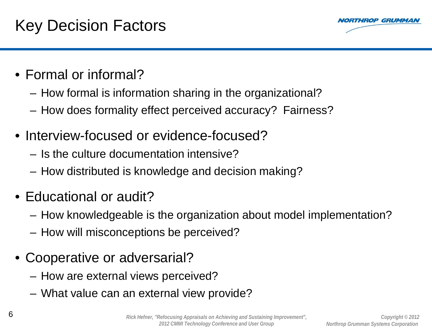### Key Decision Factors



- Formal or informal?
	- How formal is information sharing in the organizational?
	- How does formality effect perceived accuracy? Fairness?
- Interview-focused or evidence-focused?
	- Is the culture documentation intensive?
	- How distributed is knowledge and decision making?
- Educational or audit?
	- How knowledgeable is the organization about model implementation?
	- How will misconceptions be perceived?
- Cooperative or adversarial?
	- How are external views perceived?
	- What value can an external view provide?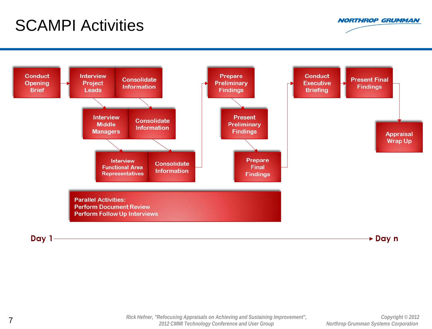### SCAMPI Activities



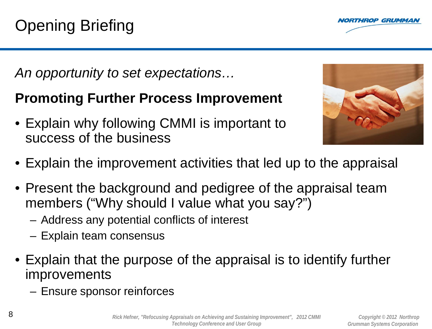*An opportunity to set expectations…*

- Explain why following CMMI is important to success of the business
- Explain the improvement activities that led up to the appraisal
- Present the background and pedigree of the appraisal team members ("Why should I value what you say?")
	- Address any potential conflicts of interest
	- Explain team consensus
- Explain that the purpose of the appraisal is to identify further improvements
	- Ensure sponsor reinforces



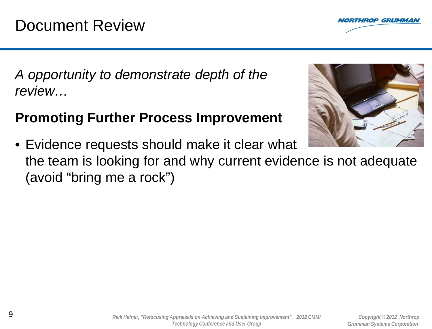

*A opportunity to demonstrate depth of the review…*

#### **Promoting Further Process Improvement**



• Evidence requests should make it clear what the team is looking for and why current evidence is not adequate (avoid "bring me a rock")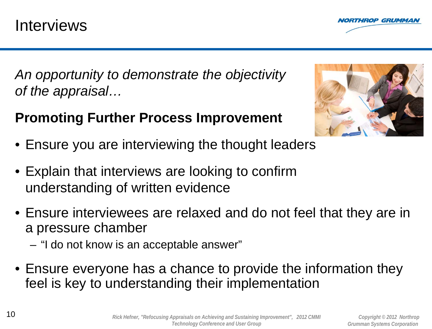

*An opportunity to demonstrate the objectivity of the appraisal…*



- Ensure you are interviewing the thought leaders
- Explain that interviews are looking to confirm understanding of written evidence
- Ensure interviewees are relaxed and do not feel that they are in a pressure chamber
	- "I do not know is an acceptable answer"
- Ensure everyone has a chance to provide the information they feel is key to understanding their implementation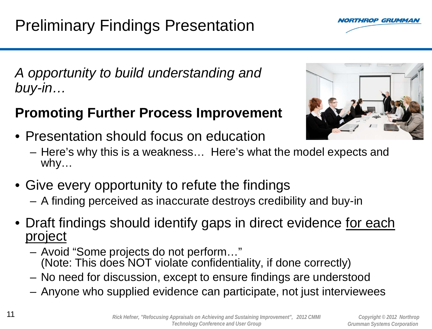- - Avoid "Some projects do not perform…" (Note: This does NOT violate confidentiality, if done correctly)
	- No need for discussion, except to ensure findings are understood
	- Anyone who supplied evidence can participate, not just interviewees

## *A opportunity to build understanding and buy-in…*

- Presentation should focus on education
	- Here's why this is a weakness… Here's what the model expects and why…
- Give every opportunity to refute the findings
	- A finding perceived as inaccurate destroys credibility and buy-in
- Draft findings should identify gaps in direct evidence for each project





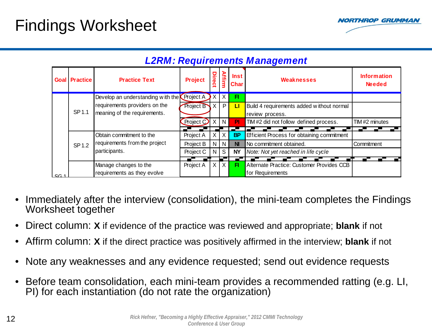### Findings Worksheet



|                | <b>Goal Practice</b> | <b>Practice Text</b>                                                                                                | <b>Project</b> | Direct   | <b>Affirm</b> | <b>Inst</b><br><b>Char</b> | Weaknesses                                 | <b>Information</b><br><b>Needed</b> |
|----------------|----------------------|---------------------------------------------------------------------------------------------------------------------|----------------|----------|---------------|----------------------------|--------------------------------------------|-------------------------------------|
|                |                      | Develop an understanding with the <b>Project A</b><br>requirements providers on the<br>meaning of the requirements. |                | X        |               | Ħ                          |                                            |                                     |
|                |                      |                                                                                                                     | Project B      | X        | P             | П                          | Build 4 requirements added without normal  |                                     |
|                | SP 1.1               |                                                                                                                     |                |          |               |                            | review process.                            |                                     |
|                |                      |                                                                                                                     | Project        | $\times$ | N             | <b>PI</b>                  | TIM#2 did not follow defined process.      | TIM #2 minutes                      |
|                |                      |                                                                                                                     |                |          |               |                            |                                            |                                     |
|                |                      | Obtain commitment to the<br>requirements from the project<br>participants.                                          | Project A      |          |               | <b>BP</b>                  | Efficient Process for obtaining commitment |                                     |
|                | SP 1.2               |                                                                                                                     | Project B      |          | $N$ $N$       | <b>NI</b>                  | No commitment obtained.                    | Commitment                          |
|                |                      |                                                                                                                     | Project C      | N        | S             | <b>NY</b>                  | Note: Not yet reached in life cycle        |                                     |
|                |                      |                                                                                                                     |                |          |               |                            |                                            |                                     |
|                |                      | Manage changes to the                                                                                               | Project A      | X        | IX            | FI                         | Alternate Practice: Customer Provides CCB  |                                     |
| C <sub>1</sub> |                      | requirements as they evolve                                                                                         |                |          |               |                            | for Requirements                           |                                     |

#### *L2RM: Requirements Management*

- Immediately after the interview (consolidation), the mini-team completes the Findings Worksheet together
- Direct column: **X** if evidence of the practice was reviewed and appropriate; **blank** if not
- Affirm column: **X** if the direct practice was positively affirmed in the interview; **blank** if not
- Note any weaknesses and any evidence requested; send out evidence requests
- Before team consolidation, each mini-team provides a recommended ratting (e.g. LI, PI) for each instantiation (do not rate the organization)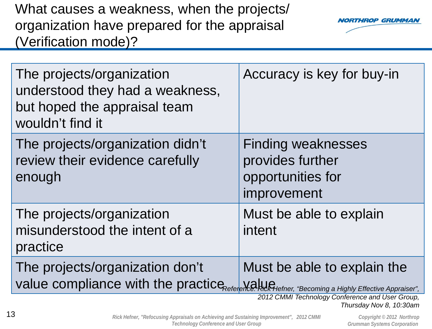What causes a weakness, when the projects/ organization have prepared for the appraisal (Verification mode)?



| The projects/organization<br>understood they had a weakness,<br>but hoped the appraisal team<br>wouldn't find it                      | Accuracy is key for buy-in                                                        |
|---------------------------------------------------------------------------------------------------------------------------------------|-----------------------------------------------------------------------------------|
| The projects/organization didn't<br>review their evidence carefully<br>enough                                                         | <b>Finding weaknesses</b><br>provides further<br>opportunities for<br>improvement |
| The projects/organization<br>misunderstood the intent of a<br>practice                                                                | Must be able to explain<br>intent                                                 |
| The projects/organization don't<br>value compliance with the practice Reference: RickHefner, "Becoming a Highly Effective Appraiser", | Must be able to explain the                                                       |
|                                                                                                                                       | 2012 CMMI Technology Conference and User Group,<br>Thursday Nov 8, 10:30am        |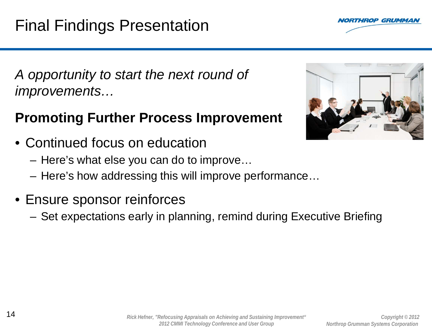

*A opportunity to start the next round of improvements…*

- Continued focus on education
	- Here's what else you can do to improve…
	- Here's how addressing this will improve performance…
- Ensure sponsor reinforces
	- Set expectations early in planning, remind during Executive Briefing